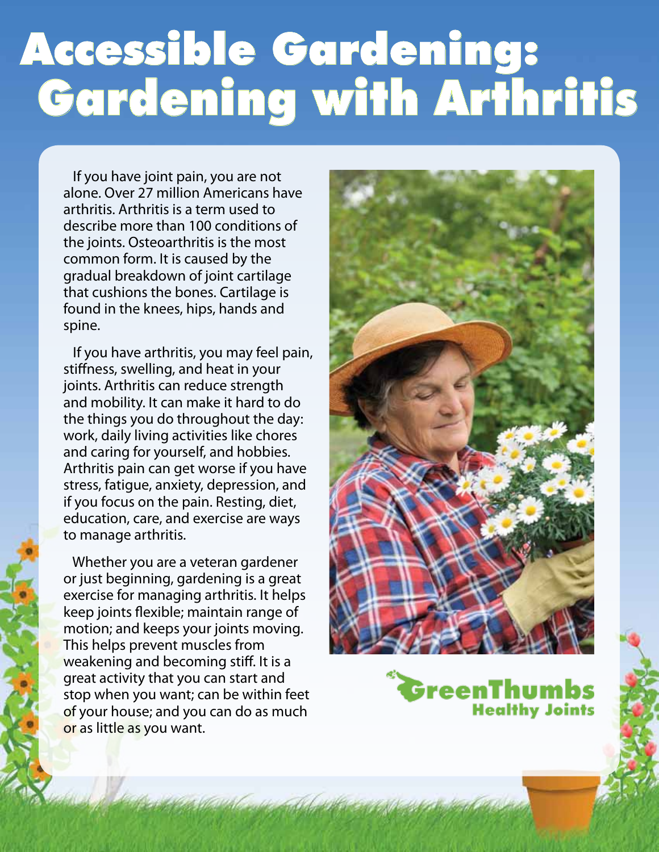## Accessible Gardening: Gardening with Arthritis

 If you have joint pain, you are not alone. Over 27 million Americans have arthritis. Arthritis is a term used to describe more than 100 conditions of the joints. Osteoarthritis is the most common form. It is caused by the gradual breakdown of joint cartilage that cushions the bones. Cartilage is found in the knees, hips, hands and spine.

 If you have arthritis, you may feel pain, stiffness, swelling, and heat in your joints. Arthritis can reduce strength and mobility. It can make it hard to do the things you do throughout the day: work, daily living activities like chores and caring for yourself, and hobbies. Arthritis pain can get worse if you have stress, fatigue, anxiety, depression, and if you focus on the pain. Resting, diet, education, care, and exercise are ways to manage arthritis.

 Whether you are a veteran gardener or just beginning, gardening is a great exercise for managing arthritis. It helps keep joints flexible; maintain range of motion; and keeps your joints moving. This helps prevent muscles from weakening and becoming stiff. It is a great activity that you can start and stop when you want; can be within feet of your house; and you can do as much or as little as you want.